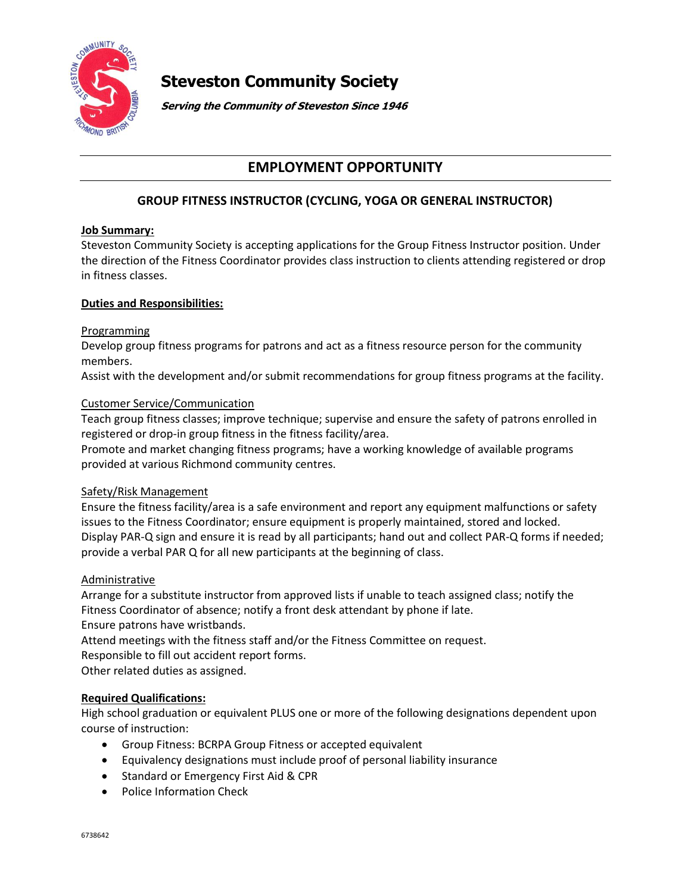

# **Steveston Community Society**

**Serving the Community of Steveston Since 1946**

## **EMPLOYMENT OPPORTUNITY**

### **GROUP FITNESS INSTRUCTOR (CYCLING, YOGA OR GENERAL INSTRUCTOR)**

#### **Job Summary:**

Steveston Community Society is accepting applications for the Group Fitness Instructor position. Under the direction of the Fitness Coordinator provides class instruction to clients attending registered or drop in fitness classes.

#### **Duties and Responsibilities:**

#### Programming

Develop group fitness programs for patrons and act as a fitness resource person for the community members.

Assist with the development and/or submit recommendations for group fitness programs at the facility.

#### Customer Service/Communication

Teach group fitness classes; improve technique; supervise and ensure the safety of patrons enrolled in registered or drop-in group fitness in the fitness facility/area.

Promote and market changing fitness programs; have a working knowledge of available programs provided at various Richmond community centres.

#### Safety/Risk Management

Ensure the fitness facility/area is a safe environment and report any equipment malfunctions or safety issues to the Fitness Coordinator; ensure equipment is properly maintained, stored and locked. Display PAR-Q sign and ensure it is read by all participants; hand out and collect PAR-Q forms if needed; provide a verbal PAR Q for all new participants at the beginning of class.

#### Administrative

Arrange for a substitute instructor from approved lists if unable to teach assigned class; notify the Fitness Coordinator of absence; notify a front desk attendant by phone if late. Ensure patrons have wristbands.

Attend meetings with the fitness staff and/or the Fitness Committee on request.

Responsible to fill out accident report forms.

Other related duties as assigned.

#### **Required Qualifications:**

High school graduation or equivalent PLUS one or more of the following designations dependent upon course of instruction:

- Group Fitness: BCRPA Group Fitness or accepted equivalent
- Equivalency designations must include proof of personal liability insurance
- Standard or Emergency First Aid & CPR
- Police Information Check